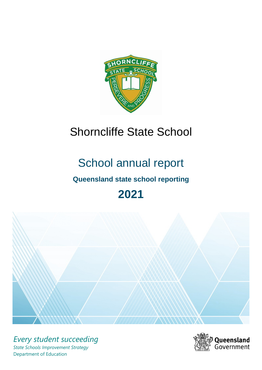

# Shorncliffe State School

# School annual report

# **Queensland state school reporting**

# **2021**



*Every student succeeding State Schools Improvement Strategy* Department of Education

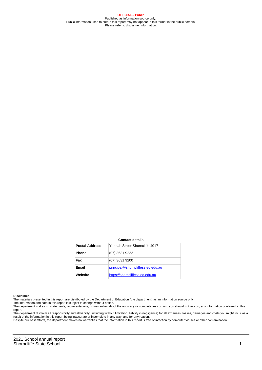**OFFICIAL – Public** Published as information source only. Public information used to create this report may not appear in this format in the public domain Please refer to disclaimer information.

#### **Contact details**

| <b>Postal Address</b> | Yundah Street Shorncliffe 4017    |
|-----------------------|-----------------------------------|
| <b>Phone</b>          | (07) 3631 9222                    |
| Fax                   | (07) 3631 9200                    |
| Email                 | principal@shorncliffess.eq.edu.au |
| Website               | https://shorncliffess.eq.edu.au   |

#### **Disclaimer**

The materials presented in this report are distributed by the Department of Education (the department) as an information source only.

The information and data in this report is subject to change without notice.<br>The department makes no statements, representations, or warranties about the accuracy or completeness of, and you should not rely on, any informa report.

The department disclaim all responsibility and all liability (including without limitation, liability in negligence) for all expenses, losses, damages and costs you might incur as a result of the information in this report being inaccurate or incomplete in any way, and for any reason.

Despite our best efforts, the department makes no warranties that the information in this report is free of infection by computer viruses or other contamination.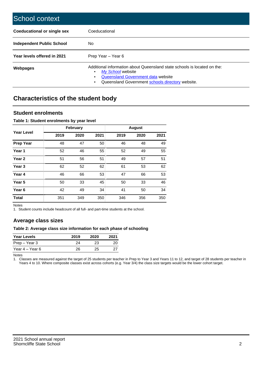| School context                   |                                                                                                                                                                                              |
|----------------------------------|----------------------------------------------------------------------------------------------------------------------------------------------------------------------------------------------|
| Coeducational or single sex      | Coeducational                                                                                                                                                                                |
| <b>Independent Public School</b> | No.                                                                                                                                                                                          |
| Year levels offered in 2021      | Prep Year - Year 6                                                                                                                                                                           |
| Webpages                         | Additional information about Queensland state schools is located on the:<br>My School website<br>Queensland Government data website<br>Queensland Government schools directory website.<br>٠ |

# **Characteristics of the student body**

### **Student enrolments**

#### **Table 1: Student enrolments by year level**

|                   | <b>February</b> |      |      | <b>August</b> |      |      |
|-------------------|-----------------|------|------|---------------|------|------|
| <b>Year Level</b> | 2019            | 2020 | 2021 | 2019          | 2020 | 2021 |
| <b>Prep Year</b>  | 48              | 47   | 50   | 46            | 48   | 49   |
| Year 1            | 52              | 46   | 55   | 52            | 49   | 55   |
| Year 2            | 51              | 56   | 51   | 49            | 57   | 51   |
| Year <sub>3</sub> | 62              | 52   | 62   | 61            | 53   | 62   |
| Year 4            | 46              | 66   | 53   | 47            | 66   | 53   |
| Year 5            | 50              | 33   | 45   | 50            | 33   | 46   |
| Year <sub>6</sub> | 42              | 49   | 34   | 41            | 50   | 34   |
| <b>Total</b>      | 351             | 349  | 350  | 346           | 356  | 350  |

Notes

1. Student counts include headcount of all full- and part-time students at the school.

## **Average class sizes**

#### **Table 2: Average class size information for each phase of schooling**

| <b>Year Levels</b> | 2019 | 2020 | 2021 |
|--------------------|------|------|------|
| Prep – Year 3      | 24   | 23   | 20   |
| Year 4 – Year 6    | 26   | 25   |      |

Notes

1. Classes are measured against the target of 25 students per teacher in Prep to Year 3 and Years 11 to 12, and target of 28 students per teacher in Years 4 to 10. Where composite classes exist across cohorts (e.g. Year 3/4) the class size targets would be the lower cohort target.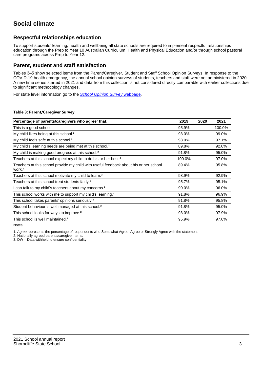## **Respectful relationships education**

To support students' learning, health and wellbeing all state schools are required to implement respectful relationships education through the Prep to Year 10 Australian Curriculum: Health and Physical Education and/or through school pastoral care programs across Prep to Year 12.

### **Parent, student and staff satisfaction**

Tables 3–5 show selected items from the Parent/Caregiver, Student and Staff School Opinion Surveys. In response to the COVID-19 health emergency, the annual school opinion surveys of students, teachers and staff were not administered in 2020. A new time series started in 2021 and data from this collection is not considered directly comparable with earlier collections due to significant methodology changes.

For state level information go to the **[School Opinion Survey](https://qed.qld.gov.au/publications/reports/statistics/schooling/schools/schoolopinionsurvey) webpage**.

#### **Table 3: Parent/Caregiver Survey**

| Percentage of parents/caregivers who agree <sup>1</sup> that:                                               | 2019   | 2020 | 2021   |
|-------------------------------------------------------------------------------------------------------------|--------|------|--------|
| This is a good school.                                                                                      | 95.9%  |      | 100.0% |
| My child likes being at this school. <sup>2</sup>                                                           | 98.0%  |      | 99.0%  |
| My child feels safe at this school. <sup>2</sup>                                                            | 98.0%  |      | 97.1%  |
| My child's learning needs are being met at this school. <sup>2</sup>                                        | 89.8%  |      | 92.0%  |
| My child is making good progress at this school. <sup>2</sup>                                               | 91.8%  |      | 95.0%  |
| Teachers at this school expect my child to do his or her best. <sup>2</sup>                                 | 100.0% |      | 97.0%  |
| Teachers at this school provide my child with useful feedback about his or her school<br>work. <sup>2</sup> | 89.4%  |      | 95.8%  |
| Teachers at this school motivate my child to learn. <sup>2</sup>                                            | 93.9%  |      | 92.9%  |
| Teachers at this school treat students fairly. <sup>2</sup>                                                 | 95.7%  |      | 95.1%  |
| I can talk to my child's teachers about my concerns. <sup>2</sup>                                           | 90.0%  |      | 96.0%  |
| This school works with me to support my child's learning. <sup>2</sup>                                      | 91.8%  |      | 96.9%  |
| This school takes parents' opinions seriously. <sup>2</sup>                                                 | 91.8%  |      | 95.8%  |
| Student behaviour is well managed at this school. <sup>2</sup>                                              | 91.8%  |      | 95.0%  |
| This school looks for ways to improve. <sup>2</sup>                                                         | 98.0%  |      | 97.9%  |
| This school is well maintained. <sup>2</sup>                                                                | 95.9%  |      | 97.0%  |

Notes

1. Agree represents the percentage of respondents who Somewhat Agree, Agree or Strongly Agree with the statement.

2. Nationally agreed parents/caregiver items.

3. DW = Data withheld to ensure confidentiality.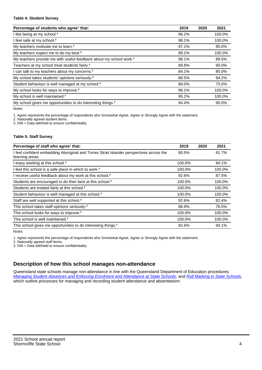#### **Table 4: Student Survey**

| Percentage of students who agree <sup>1</sup> that:                            | 2019  | 2020 | 2021   |
|--------------------------------------------------------------------------------|-------|------|--------|
| I like being at my school. <sup>2</sup>                                        | 96.2% |      | 100.0% |
| I feel safe at my school. <sup>2</sup>                                         | 98.1% |      | 100.0% |
| My teachers motivate me to learn. <sup>2</sup>                                 | 97.1% |      | 95.0%  |
| My teachers expect me to do my best. <sup>2</sup>                              | 99.1% |      | 100.0% |
| My teachers provide me with useful feedback about my school work. <sup>2</sup> | 98.1% |      | 89.5%  |
| Teachers at my school treat students fairly. <sup>2</sup>                      | 89.8% |      | 90.0%  |
| I can talk to my teachers about my concerns. <sup>2</sup>                      | 84.1% |      | 85.0%  |
| My school takes students' opinions seriously. <sup>2</sup>                     | 88.5% |      | 84.2%  |
| Student behaviour is well managed at my school. <sup>2</sup>                   | 88.0% |      | 75.0%  |
| My school looks for ways to improve. <sup>2</sup>                              | 98.1% |      | 100.0% |
| My school is well maintained. <sup>2</sup>                                     | 95.2% |      | 100.0% |
| My school gives me opportunities to do interesting things. <sup>2</sup>        | 94.4% |      | 95.0%  |

Notes

1. Agree represents the percentage of respondents who Somewhat Agree, Agree or Strongly Agree with the statement.

2. Nationally agreed student items.

3. DW = Data withheld to ensure confidentiality.

#### **Table 5: Staff Survey**

| Percentage of staff who agree <sup>1</sup> that:                                                            | 2019   | 2020 | 2021   |
|-------------------------------------------------------------------------------------------------------------|--------|------|--------|
| I feel confident embedding Aboriginal and Torres Strait Islander perspectives across the<br>learning areas. | 90.5%  |      | 91.7%  |
| I enjoy working at this school. <sup>2</sup>                                                                | 100.0% |      | 94.1%  |
| I feel this school is a safe place in which to work. <sup>2</sup>                                           | 100.0% |      | 100.0% |
| I receive useful feedback about my work at this school. <sup>2</sup>                                        | 92.6%  |      | 87.5%  |
| Students are encouraged to do their best at this school. <sup>2</sup>                                       | 100.0% |      | 100.0% |
| Students are treated fairly at this school. <sup>2</sup>                                                    | 100.0% |      | 100.0% |
| Student behaviour is well managed at this school. <sup>2</sup>                                              | 100.0% |      | 100.0% |
| Staff are well supported at this school. <sup>2</sup>                                                       | 92.6%  |      | 82.4%  |
| This school takes staff opinions seriously. <sup>2</sup>                                                    | 88.9%  |      | 76.5%  |
| This school looks for ways to improve. <sup>2</sup>                                                         | 100.0% |      | 100.0% |
| This school is well maintained. <sup>2</sup>                                                                | 100.0% |      | 100.0% |
| This school gives me opportunities to do interesting things. <sup>2</sup>                                   | 92.6%  |      | 94.1%  |

Notes

1. Agree represents the percentage of respondents who Somewhat Agree, Agree or Strongly Agree with the statement.

2. Nationally agreed staff items.

3. DW = Data withheld to ensure confidentiality.

## **Description of how this school manages non-attendance**

Queensland state schools manage non-attendance in line with the Queensland Department of Education procedures: [Managing Student Absences and Enforcing Enrolment and Attendance at State Schools](https://ppr.qed.qld.gov.au/pp/managing-student-absences-and-enforcing-enrolment-and-attendance-at-state-schools-procedure); and [Roll Marking in State Schools,](https://ppr.qed.qld.gov.au/pp/roll-marking-in-state-schools-procedure) which outline processes for managing and recording student attendance and absenteeism.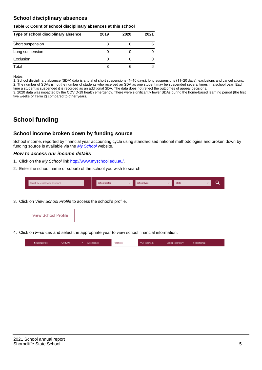## **School disciplinary absences**

#### **Table 6: Count of school disciplinary absences at this school**

| Type of school disciplinary absence | 2019 | 2020 | 2021 |
|-------------------------------------|------|------|------|
| Short suspension                    | 3    |      | 6    |
| Long suspension                     |      |      |      |
| Exclusion                           |      |      |      |
| Total                               |      | 6    | 6    |

Notes

1. School disciplinary absence (SDA) data is a total of short suspensions (1–10 days), long suspensions (11–20 days), exclusions and cancellations. 2. The number of SDAs is not the number of students who received an SDA as one student may be suspended several times in a school year. Each time a student is suspended it is recorded as an additional SDA. The data does not reflect the outcomes of appeal decisions.

3. 2020 data was impacted by the COVID-19 health emergency. There were significantly fewer SDAs during the home-based learning period (the first five weeks of Term 2) compared to other years.

# **School funding**

## **School income broken down by funding source**

School income, reported by financial year accounting cycle using standardised national methodologies and broken down by funding source is available via the  $My$  School website.

#### **How to access our income details**

- 1. Click on the My School link <http://www.myschool.edu.au/>.
- 2. Enter the school name or suburb of the school you wish to search.

|  | Search by school name or suburb |  | <b>School sector</b> |  | $\sim$ and $\sim$ represents the set of $\sim$ | <b>State</b> |  |  |  |
|--|---------------------------------|--|----------------------|--|------------------------------------------------|--------------|--|--|--|
|--|---------------------------------|--|----------------------|--|------------------------------------------------|--------------|--|--|--|

3. Click on View School Profile to access the school's profile.



4. Click on Finances and select the appropriate year to view school financial information.

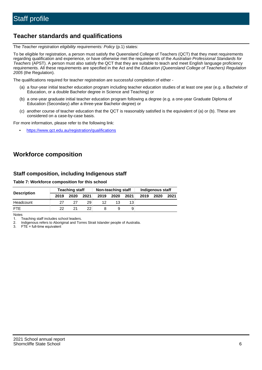# **Teacher standards and qualifications**

The Teacher registration eligibility requirements: Policy (p.1) states:

To be eligible for registration, a person must satisfy the Queensland College of Teachers (QCT) that they meet requirements regarding qualification and experience, or have otherwise met the requirements of the Australian Professional Standards for Teachers (APST). A person must also satisfy the QCT that they are suitable to teach and meet English language proficiency requirements. All these requirements are specified in the Act and the Education (Queensland College of Teachers) Regulation 2005 (the Regulation).

The qualifications required for teacher registration are successful completion of either -

- (a) a four-year initial teacher education program including teacher education studies of at least one year (e.g. a Bachelor of Education, or a double Bachelor degree in Science and Teaching) or
- (b) a one-year graduate initial teacher education program following a degree (e.g. a one-year Graduate Diploma of Education (Secondary) after a three-year Bachelor degree) or
- (c) another course of teacher education that the QCT is reasonably satisfied is the equivalent of (a) or (b). These are considered on a case-by-case basis.

For more information, please refer to the following link:

• <https://www.qct.edu.au/registration/qualifications>

# **Workforce composition**

## **Staff composition, including Indigenous staff**

#### **Table 7: Workforce composition for this school**

|                    |      | <b>Teaching staff</b> |                 |      | Non-teaching staff |      |      | Indigenous staff |      |
|--------------------|------|-----------------------|-----------------|------|--------------------|------|------|------------------|------|
| <b>Description</b> | 2019 | 2020                  | 2021            | 2019 | 2020               | 2021 | 2019 | 2020             | 2021 |
| Headcount          | 27   |                       | 29              | 12   |                    |      |      |                  |      |
| <b>FTE</b>         | 22   | 21                    | 22 <sub>1</sub> |      |                    | 9    |      |                  |      |

Notes

1. Teaching staff includes school leaders.

2. Indigenous refers to Aboriginal and Torres Strait Islander people of Australia.

3. FTE = full-time equivalent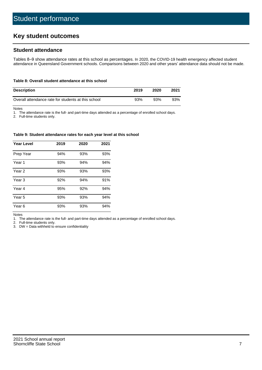# **Key student outcomes**

## **Student attendance**

Tables 8–9 show attendance rates at this school as percentages. In 2020, the COVID-19 health emergency affected student attendance in Queensland Government schools. Comparisons between 2020 and other years' attendance data should not be made.

#### **Table 8: Overall student attendance at this school**

| <b>Description</b>                                  | 2019 | 2020 | 2021 |
|-----------------------------------------------------|------|------|------|
| Overall attendance rate for students at this school | 93%  | 93%  | 93%  |

Notes

1. The attendance rate is the full- and part-time days attended as a percentage of enrolled school days.

2. Full-time students only.

#### **Table 9: Student attendance rates for each year level at this school**

| <b>Year Level</b> | 2019 | 2020 | 2021 |
|-------------------|------|------|------|
| Prep Year         | 94%  | 93%  | 93%  |
| Year <sub>1</sub> | 93%  | 94%  | 94%  |
| Year 2            | 93%  | 93%  | 93%  |
| Year 3            | 92%  | 94%  | 91%  |
| Year 4            | 95%  | 92%  | 94%  |
| Year 5            | 93%  | 93%  | 94%  |
| Year <sub>6</sub> | 93%  | 93%  | 94%  |

Notes

1. The attendance rate is the full- and part-time days attended as a percentage of enrolled school days.

2. Full-time students only.

3. DW = Data withheld to ensure confidentiality